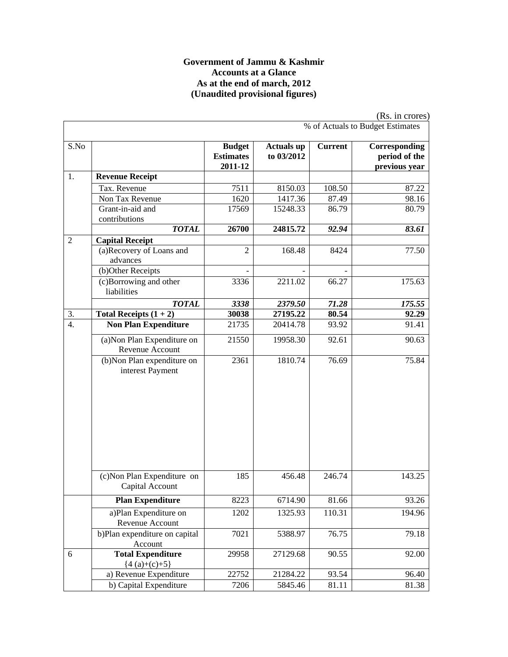#### **Government of Jammu & Kashmir Accounts at a Glance As at the end of march, 2012 (Unaudited provisional figures)**

|                  |                                                                                |                                              |                                 |                 | (Rs. in crores)                                 |
|------------------|--------------------------------------------------------------------------------|----------------------------------------------|---------------------------------|-----------------|-------------------------------------------------|
|                  |                                                                                |                                              |                                 |                 | % of Actuals to Budget Estimates                |
| S.No             |                                                                                | <b>Budget</b><br><b>Estimates</b><br>2011-12 | <b>Actuals up</b><br>to 03/2012 | <b>Current</b>  | Corresponding<br>period of the<br>previous year |
| 1.               | <b>Revenue Receipt</b>                                                         |                                              |                                 |                 |                                                 |
|                  | Tax. Revenue                                                                   | 7511                                         | 8150.03                         | 108.50          | 87.22                                           |
|                  | Non Tax Revenue                                                                | 1620                                         | 1417.36                         | 87.49           | 98.16                                           |
|                  | Grant-in-aid and<br>contributions                                              | 17569                                        | 15248.33                        | 86.79           | 80.79                                           |
|                  | <b>TOTAL</b>                                                                   | 26700                                        | 24815.72                        | 92.94           | 83.61                                           |
| $\overline{2}$   | <b>Capital Receipt</b>                                                         |                                              |                                 |                 |                                                 |
|                  | (a)Recovery of Loans and<br>advances                                           | $\overline{2}$                               | 168.48                          | 8424            | 77.50                                           |
|                  | (b)Other Receipts                                                              |                                              |                                 |                 |                                                 |
|                  | (c)Borrowing and other<br>liabilities                                          | 3336                                         | 2211.02                         | 66.27           | 175.63                                          |
|                  | <b>TOTAL</b>                                                                   | 3338                                         | 2379.50                         | 71.28           | 175.55                                          |
| 3.               | Total Receipts $(1 + 2)$                                                       | 30038                                        | 27195.22                        | 80.54           | 92.29                                           |
| $\overline{4}$ . | <b>Non Plan Expenditure</b>                                                    | 21735                                        | 20414.78                        | 93.92           | 91.41                                           |
|                  | (a) Non Plan Expenditure on<br>Revenue Account                                 | 21550                                        | 19958.30                        | 92.61           | 90.63                                           |
|                  | (b) Non Plan expenditure on<br>interest Payment<br>(c) Non Plan Expenditure on | 2361<br>185                                  | 1810.74<br>456.48               | 76.69<br>246.74 | 75.84<br>143.25                                 |
|                  | Capital Account                                                                |                                              |                                 |                 |                                                 |
|                  | <b>Plan Expenditure</b>                                                        | 8223                                         | 6714.90                         | 81.66           | 93.26                                           |
|                  | a)Plan Expenditure on<br>Revenue Account                                       | 1202                                         | 1325.93                         | 110.31          | 194.96                                          |
|                  | b)Plan expenditure on capital<br>Account                                       | 7021                                         | 5388.97                         | 76.75           | 79.18                                           |
| 6                | <b>Total Expenditure</b><br>${4(a)+(c)+5}$                                     | 29958                                        | 27129.68                        | 90.55           | 92.00                                           |
|                  | a) Revenue Expenditure                                                         | 22752                                        | 21284.22                        | 93.54           | 96.40                                           |
|                  | b) Capital Expenditure                                                         | 7206                                         | 5845.46                         | 81.11           | 81.38                                           |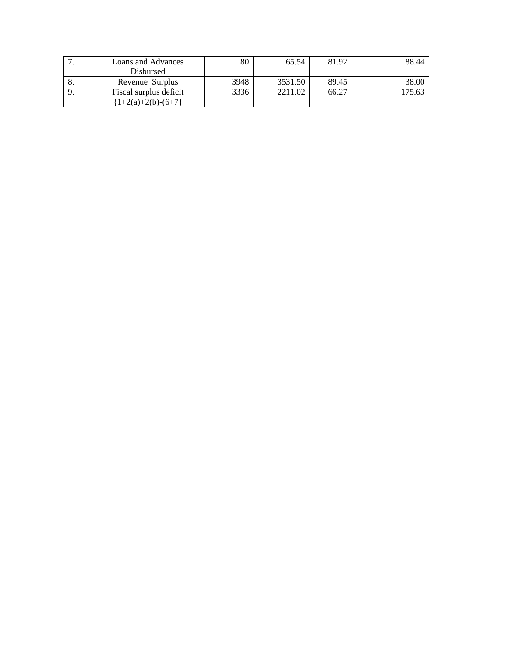|       | Loans and Advances      | 80   | 65.54   | 81.92 | 88.44  |
|-------|-------------------------|------|---------|-------|--------|
|       | Disbursed               |      |         |       |        |
| 8.    | Revenue Surplus         | 3948 | 3531.50 | 89.45 | 38.00  |
| $-9.$ | Fiscal surplus deficit  | 3336 | 2211.02 | 66.27 | 175.63 |
|       | $\{1+2(a)+2(b)-(6+7)\}$ |      |         |       |        |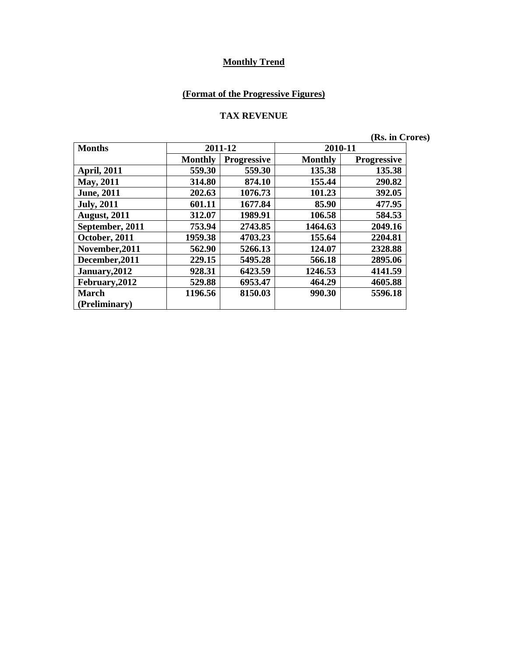# **(Format of the Progressive Figures)**

#### **TAX REVENUE**

**(Rs. in Crores)** 

| <b>Months</b>       |                | 2011-12            | 2010-11        |                    |
|---------------------|----------------|--------------------|----------------|--------------------|
|                     | <b>Monthly</b> | <b>Progressive</b> | <b>Monthly</b> | <b>Progressive</b> |
| <b>April, 2011</b>  | 559.30         | 559.30             | 135.38         | 135.38             |
| May, 2011           | 314.80         | 874.10             | 155.44         | 290.82             |
| <b>June</b> , 2011  | 202.63         | 1076.73            | 101.23         | 392.05             |
| <b>July</b> , 2011  | 601.11         | 1677.84            | 85.90          | 477.95             |
| <b>August, 2011</b> | 312.07         | 1989.91            | 106.58         | 584.53             |
| September, 2011     | 753.94         | 2743.85            | 1464.63        | 2049.16            |
| October, 2011       | 1959.38        | 4703.23            | 155.64         | 2204.81            |
| November, 2011      | 562.90         | 5266.13            | 124.07         | 2328.88            |
| December, 2011      | 229.15         | 5495.28            | 566.18         | 2895.06            |
| January, 2012       | 928.31         | 6423.59            | 1246.53        | 4141.59            |
| February, 2012      | 529.88         | 6953.47            | 464.29         | 4605.88            |
| <b>March</b>        | 1196.56        | 8150.03            | 990.30         | 5596.18            |
| (Preliminary)       |                |                    |                |                    |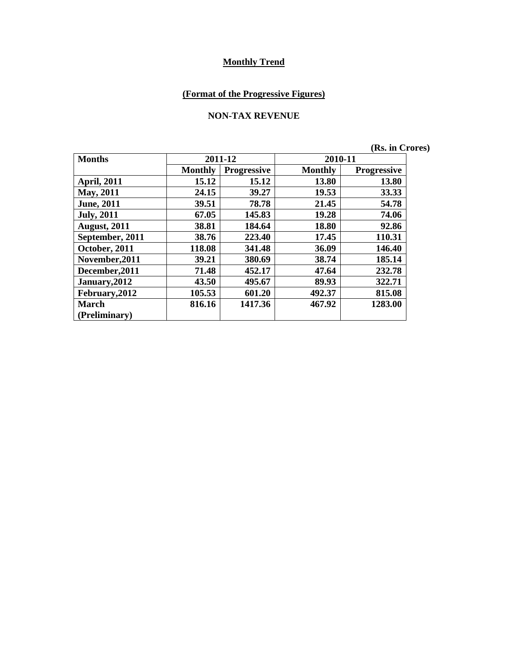# **(Format of the Progressive Figures)**

#### **NON-TAX REVENUE**

|  | (Rs. in Crores) |
|--|-----------------|
|  |                 |

| <b>Months</b>       |                | 2011-12            |                | 2010-11            |  |
|---------------------|----------------|--------------------|----------------|--------------------|--|
|                     | <b>Monthly</b> | <b>Progressive</b> | <b>Monthly</b> | <b>Progressive</b> |  |
| <b>April, 2011</b>  | 15.12          | 15.12              | 13.80          | 13.80              |  |
| May, 2011           | 24.15          | 39.27              | 19.53          | 33.33              |  |
| <b>June</b> , 2011  | 39.51          | 78.78              | 21.45          | 54.78              |  |
| <b>July, 2011</b>   | 67.05          | 145.83             | 19.28          | 74.06              |  |
| <b>August, 2011</b> | 38.81          | 184.64             | 18.80          | 92.86              |  |
| September, 2011     | 38.76          | 223.40             | 17.45          | 110.31             |  |
| October, 2011       | 118.08         | 341.48             | 36.09          | 146.40             |  |
| November, 2011      | 39.21          | 380.69             | 38.74          | 185.14             |  |
| December, 2011      | 71.48          | 452.17             | 47.64          | 232.78             |  |
| January, 2012       | 43.50          | 495.67             | 89.93          | 322.71             |  |
| February, 2012      | 105.53         | 601.20             | 492.37         | 815.08             |  |
| <b>March</b>        | 816.16         | 1417.36            | 467.92         | 1283.00            |  |
| (Preliminary)       |                |                    |                |                    |  |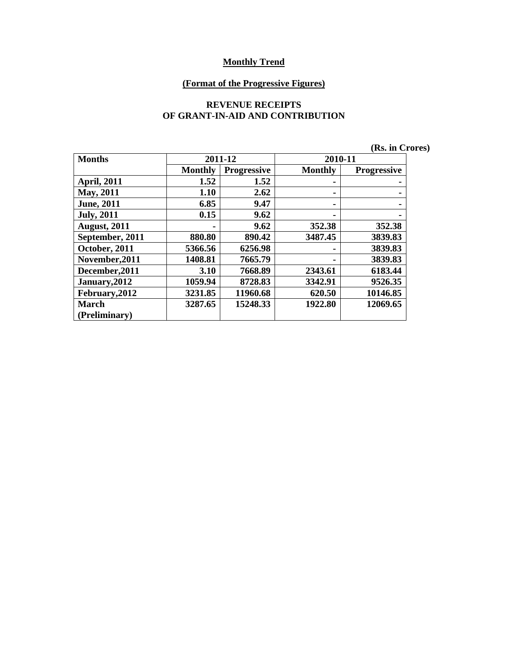#### **(Format of the Progressive Figures)**

#### **REVENUE RECEIPTS OF GRANT-IN-AID AND CONTRIBUTION**

|                     |                |                    |                | (Rs. in Crores)    |
|---------------------|----------------|--------------------|----------------|--------------------|
| <b>Months</b>       |                | 2011-12            | 2010-11        |                    |
|                     | <b>Monthly</b> | <b>Progressive</b> | <b>Monthly</b> | <b>Progressive</b> |
| <b>April, 2011</b>  | 1.52           | 1.52               |                |                    |
| <b>May</b> , 2011   | 1.10           | 2.62               | ۰              |                    |
| <b>June</b> , 2011  | 6.85           | 9.47               |                |                    |
| <b>July</b> , 2011  | 0.15           | 9.62               |                |                    |
| <b>August, 2011</b> |                | 9.62               | 352.38         | 352.38             |
| September, 2011     | 880.80         | 890.42             | 3487.45        | 3839.83            |
| October, 2011       | 5366.56        | 6256.98            | ۰              | 3839.83            |
| November, 2011      | 1408.81        | 7665.79            |                | 3839.83            |
| December, 2011      | 3.10           | 7668.89            | 2343.61        | 6183.44            |
| January, 2012       | 1059.94        | 8728.83            | 3342.91        | 9526.35            |
| February, 2012      | 3231.85        | 11960.68           | 620.50         | 10146.85           |
| March               | 3287.65        | 15248.33           | 1922.80        | 12069.65           |
| (Preliminary)       |                |                    |                |                    |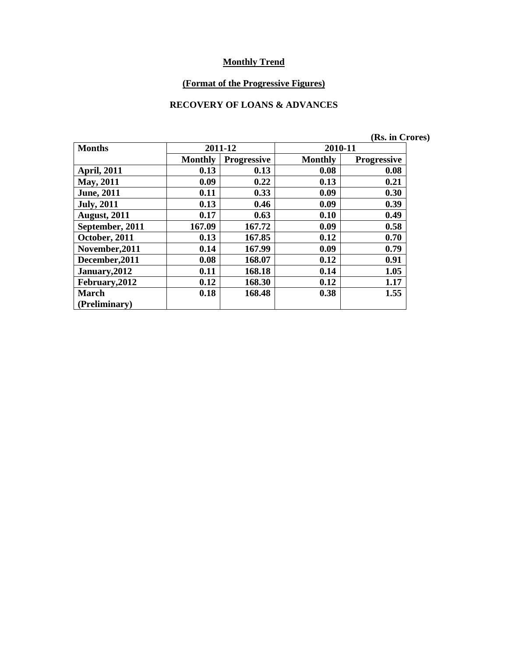#### **(Format of the Progressive Figures)**

#### **RECOVERY OF LOANS & ADVANCES**

|                     |                |                    |                | (Rs. in Crores)    |
|---------------------|----------------|--------------------|----------------|--------------------|
| <b>Months</b>       |                | 2011-12            | 2010-11        |                    |
|                     | <b>Monthly</b> | <b>Progressive</b> | <b>Monthly</b> | <b>Progressive</b> |
| <b>April, 2011</b>  | 0.13           | 0.13               | 0.08           | 0.08               |
| <b>May, 2011</b>    | 0.09           | 0.22               | 0.13           | 0.21               |
| <b>June</b> , 2011  | 0.11           | 0.33               | 0.09           | 0.30               |
| <b>July, 2011</b>   | 0.13           | 0.46               | 0.09           | 0.39               |
| <b>August, 2011</b> | 0.17           | 0.63               | 0.10           | 0.49               |
| September, 2011     | 167.09         | 167.72             | 0.09           | 0.58               |
| October, 2011       | 0.13           | 167.85             | 0.12           | 0.70               |
| November, 2011      | 0.14           | 167.99             | 0.09           | 0.79               |
| December, 2011      | 0.08           | 168.07             | 0.12           | 0.91               |
| January, 2012       | 0.11           | 168.18             | 0.14           | 1.05               |
| February, 2012      | 0.12           | 168.30             | 0.12           | 1.17               |
| <b>March</b>        | 0.18           | 168.48             | 0.38           | 1.55               |
| (Preliminary)       |                |                    |                |                    |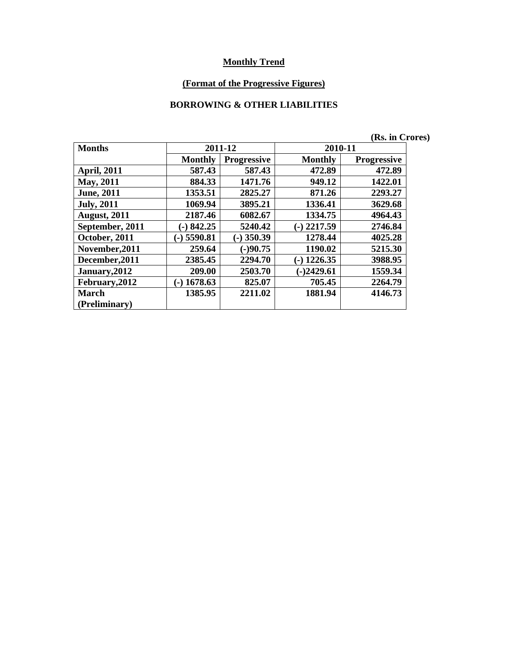#### **(Format of the Progressive Figures)**

#### **BORROWING & OTHER LIABILITIES**

|                     |                |                    |                | (Rs. in Crores)    |  |
|---------------------|----------------|--------------------|----------------|--------------------|--|
| <b>Months</b>       |                | 2011-12            | 2010-11        |                    |  |
|                     | <b>Monthly</b> | <b>Progressive</b> | <b>Monthly</b> | <b>Progressive</b> |  |
| <b>April, 2011</b>  | 587.43         | 587.43             | 472.89         | 472.89             |  |
| May, 2011           | 884.33         | 1471.76            | 949.12         | 1422.01            |  |
| <b>June</b> , 2011  | 1353.51        | 2825.27            | 871.26         | 2293.27            |  |
| <b>July</b> , 2011  | 1069.94        | 3895.21            | 1336.41        | 3629.68            |  |
| <b>August, 2011</b> | 2187.46        | 6082.67            | 1334.75        | 4964.43            |  |
| September, 2011     | $(-) 842.25$   | 5240.42            | $(-)$ 2217.59  | 2746.84            |  |
| October, 2011       | $(-)$ 5590.81  | $(-)$ 350.39       | 1278.44        | 4025.28            |  |
| November, 2011      | 259.64         | $(-)90.75$         | 1190.02        | 5215.30            |  |
| December, 2011      | 2385.45        | 2294.70            | $(-)$ 1226.35  | 3988.95            |  |
| January, 2012       | 209.00         | 2503.70            | $(-)2429.61$   | 1559.34            |  |
| February, 2012      | 1678.63<br>$-$ | 825.07             | 705.45         | 2264.79            |  |
| <b>March</b>        | 1385.95        | 2211.02            | 1881.94        | 4146.73            |  |
| (Preliminary)       |                |                    |                |                    |  |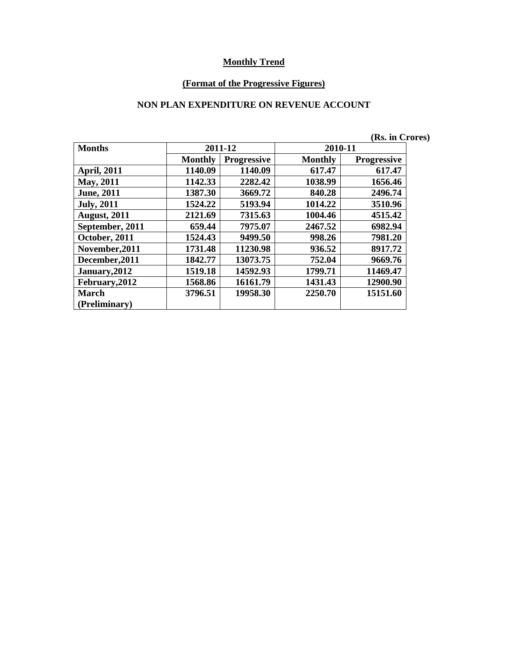#### **(Format of the Progressive Figures)**

#### **NON PLAN EXPENDITURE ON REVENUE ACCOUNT**

|                     |                |                    |                | (Rs. in Crores)    |  |
|---------------------|----------------|--------------------|----------------|--------------------|--|
| <b>Months</b>       |                | 2011-12            | 2010-11        |                    |  |
|                     | <b>Monthly</b> | <b>Progressive</b> | <b>Monthly</b> | <b>Progressive</b> |  |
| <b>April, 2011</b>  | 1140.09        | 1140.09            | 617.47         | 617.47             |  |
| May, 2011           | 1142.33        | 2282.42            | 1038.99        | 1656.46            |  |
| <b>June</b> , 2011  | 1387.30        | 3669.72            | 840.28         | 2496.74            |  |
| <b>July</b> , 2011  | 1524.22        | 5193.94            | 1014.22        | 3510.96            |  |
| <b>August, 2011</b> | 2121.69        | 7315.63            | 1004.46        | 4515.42            |  |
| September, 2011     | 659.44         | 7975.07            | 2467.52        | 6982.94            |  |
| October, 2011       | 1524.43        | 9499.50            | 998.26         | 7981.20            |  |
| November, 2011      | 1731.48        | 11230.98           | 936.52         | 8917.72            |  |
| December, 2011      | 1842.77        | 13073.75           | 752.04         | 9669.76            |  |
| January, 2012       | 1519.18        | 14592.93           | 1799.71        | 11469.47           |  |
| February, 2012      | 1568.86        | 16161.79           | 1431.43        | 12900.90           |  |
| <b>March</b>        | 3796.51        | 19958.30           | 2250.70        | 15151.60           |  |
| (Preliminary)       |                |                    |                |                    |  |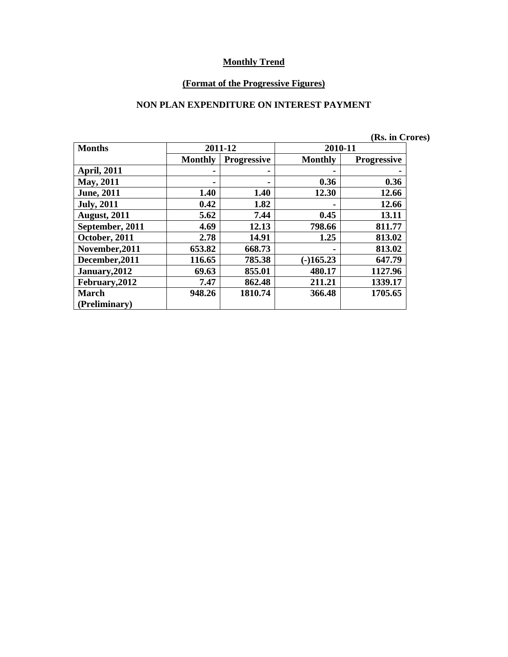#### **(Format of the Progressive Figures)**

#### **NON PLAN EXPENDITURE ON INTEREST PAYMENT**

|                     |                |                    |                | (Rs. in Crores)    |  |
|---------------------|----------------|--------------------|----------------|--------------------|--|
| <b>Months</b>       |                | 2011-12            | 2010-11        |                    |  |
|                     | <b>Monthly</b> | <b>Progressive</b> | <b>Monthly</b> | <b>Progressive</b> |  |
| <b>April, 2011</b>  |                |                    | ۰              |                    |  |
| <b>May, 2011</b>    |                |                    | 0.36           | 0.36               |  |
| <b>June</b> , 2011  | 1.40           | 1.40               | 12.30          | 12.66              |  |
| <b>July, 2011</b>   | 0.42           | 1.82               | ۰              | 12.66              |  |
| <b>August, 2011</b> | 5.62           | 7.44               | 0.45           | 13.11              |  |
| September, 2011     | 4.69           | 12.13              | 798.66         | 811.77             |  |
| October, 2011       | 2.78           | 14.91              | 1.25           | 813.02             |  |
| November, 2011      | 653.82         | 668.73             | -              | 813.02             |  |
| December, 2011      | 116.65         | 785.38             | $(-)165.23$    | 647.79             |  |
| January, 2012       | 69.63          | 855.01             | 480.17         | 1127.96            |  |
| February, 2012      | 7.47           | 862.48             | 211.21         | 1339.17            |  |
| <b>March</b>        | 948.26         | 1810.74            | 366.48         | 1705.65            |  |
| (Preliminary)       |                |                    |                |                    |  |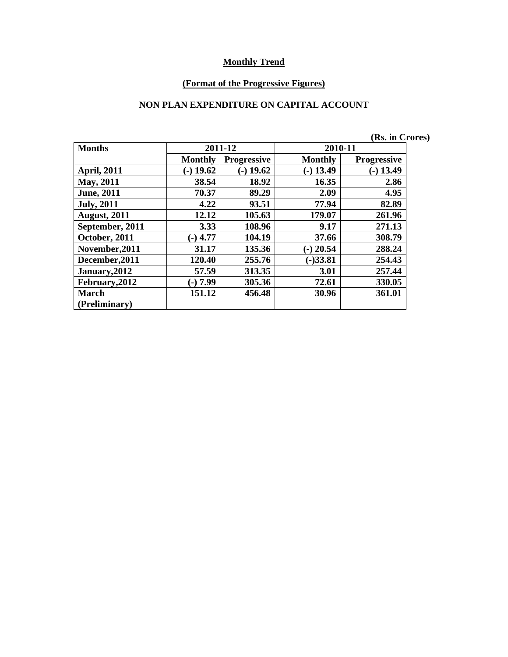#### **(Format of the Progressive Figures)**

### **NON PLAN EXPENDITURE ON CAPITAL ACCOUNT**

|                     |                |                    |                | (Rs. in Crores)    |
|---------------------|----------------|--------------------|----------------|--------------------|
| <b>Months</b>       |                | 2011-12            | 2010-11        |                    |
|                     | <b>Monthly</b> | <b>Progressive</b> | <b>Monthly</b> | <b>Progressive</b> |
| <b>April, 2011</b>  | $(-)$ 19.62    | $(-)$ 19.62        | $-$ ) 13.49    | $(-)$ 13.49        |
| May, 2011           | 38.54          | 18.92              | 16.35          | 2.86               |
| <b>June</b> , 2011  | 70.37          | 89.29              | 2.09           | 4.95               |
| <b>July</b> , 2011  | 4.22           | 93.51              | 77.94          | 82.89              |
| <b>August, 2011</b> | 12.12          | 105.63             | 179.07         | 261.96             |
| September, 2011     | 3.33           | 108.96             | 9.17           | 271.13             |
| October, 2011       | $(-)$ 4.77     | 104.19             | 37.66          | 308.79             |
| November, 2011      | 31.17          | 135.36             | $(-)$ 20.54    | 288.24             |
| December, 2011      | 120.40         | 255.76             | $(-)33.81$     | 254.43             |
| January, 2012       | 57.59          | 313.35             | 3.01           | 257.44             |
| February, 2012      | (-) 7.99       | 305.36             | 72.61          | 330.05             |
| <b>March</b>        | 151.12         | 456.48             | 30.96          | 361.01             |
| (Preliminary)       |                |                    |                |                    |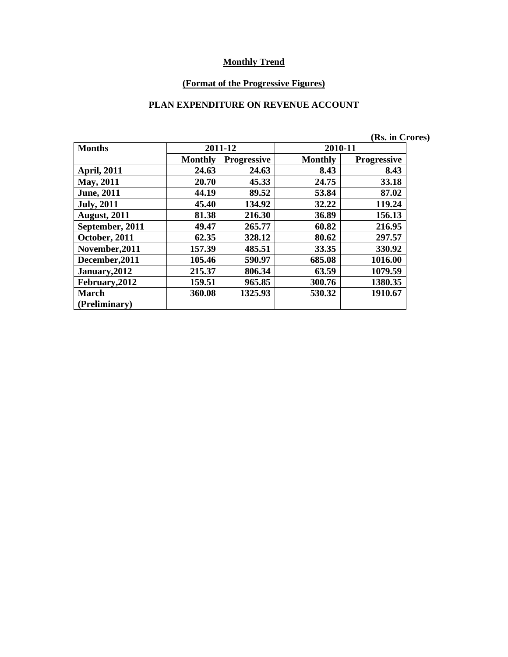#### **(Format of the Progressive Figures)**

### **PLAN EXPENDITURE ON REVENUE ACCOUNT**

|                     |                |                    |                | (Rs. in Crores)    |  |
|---------------------|----------------|--------------------|----------------|--------------------|--|
| <b>Months</b>       |                | 2011-12            | 2010-11        |                    |  |
|                     | <b>Monthly</b> | <b>Progressive</b> | <b>Monthly</b> | <b>Progressive</b> |  |
| <b>April, 2011</b>  | 24.63          | 24.63              | 8.43           | 8.43               |  |
| May, 2011           | 20.70          | 45.33              | 24.75          | 33.18              |  |
| <b>June</b> , 2011  | 44.19          | 89.52              | 53.84          | 87.02              |  |
| <b>July</b> , 2011  | 45.40          | 134.92             | 32.22          | 119.24             |  |
| <b>August, 2011</b> | 81.38          | 216.30             | 36.89          | 156.13             |  |
| September, 2011     | 49.47          | 265.77             | 60.82          | 216.95             |  |
| October, 2011       | 62.35          | 328.12             | 80.62          | 297.57             |  |
| November, 2011      | 157.39         | 485.51             | 33.35          | 330.92             |  |
| December, 2011      | 105.46         | 590.97             | 685.08         | 1016.00            |  |
| January, 2012       | 215.37         | 806.34             | 63.59          | 1079.59            |  |
| February, 2012      | 159.51         | 965.85             | 300.76         | 1380.35            |  |
| <b>March</b>        | 360.08         | 1325.93            | 530.32         | 1910.67            |  |
| (Preliminary)       |                |                    |                |                    |  |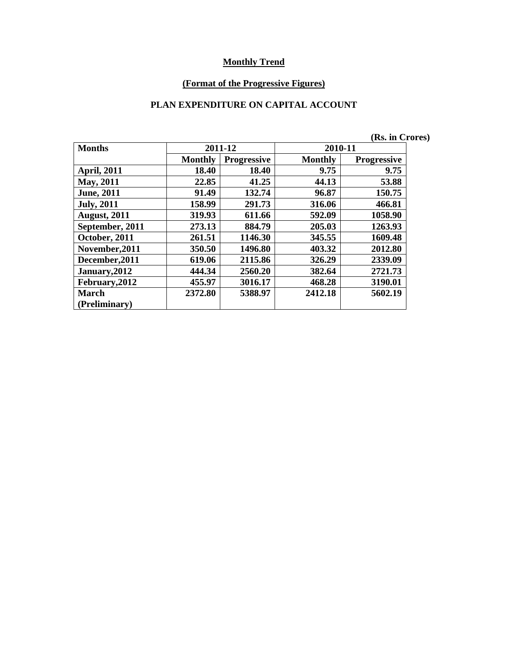#### **(Format of the Progressive Figures)**

### **PLAN EXPENDITURE ON CAPITAL ACCOUNT**

|                     |                |                    |                | (Rs. in Crores)    |  |
|---------------------|----------------|--------------------|----------------|--------------------|--|
| <b>Months</b>       |                | 2011-12            | 2010-11        |                    |  |
|                     | <b>Monthly</b> | <b>Progressive</b> | <b>Monthly</b> | <b>Progressive</b> |  |
| <b>April, 2011</b>  | 18.40          | 18.40              | 9.75           | 9.75               |  |
| May, 2011           | 22.85          | 41.25              | 44.13          | 53.88              |  |
| <b>June</b> , 2011  | 91.49          | 132.74             | 96.87          | 150.75             |  |
| <b>July</b> , 2011  | 158.99         | 291.73             | 316.06         | 466.81             |  |
| <b>August, 2011</b> | 319.93         | 611.66             | 592.09         | 1058.90            |  |
| September, 2011     | 273.13         | 884.79             | 205.03         | 1263.93            |  |
| October, 2011       | 261.51         | 1146.30            | 345.55         | 1609.48            |  |
| November, 2011      | 350.50         | 1496.80            | 403.32         | 2012.80            |  |
| December, 2011      | 619.06         | 2115.86            | 326.29         | 2339.09            |  |
| January, 2012       | 444.34         | 2560.20            | 382.64         | 2721.73            |  |
| February, 2012      | 455.97         | 3016.17            | 468.28         | 3190.01            |  |
| March               | 2372.80        | 5388.97            | 2412.18        | 5602.19            |  |
| (Preliminary)       |                |                    |                |                    |  |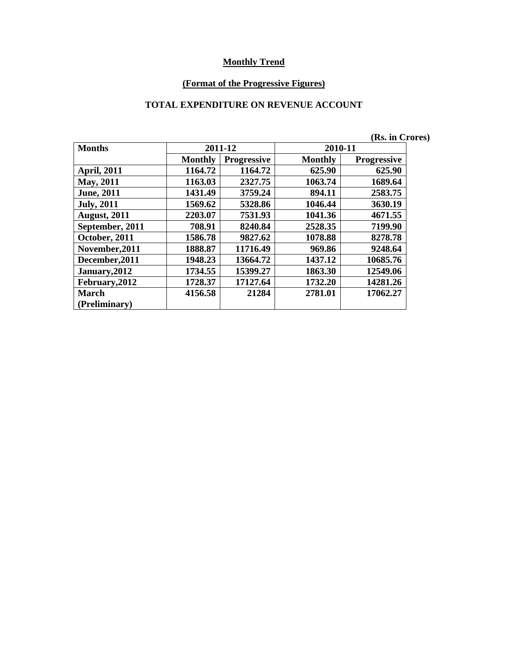#### **(Format of the Progressive Figures)**

### **TOTAL EXPENDITURE ON REVENUE ACCOUNT**

|                     |                |                    |                | (Rs. in Crores)    |  |
|---------------------|----------------|--------------------|----------------|--------------------|--|
| <b>Months</b>       |                | 2011-12            | 2010-11        |                    |  |
|                     | <b>Monthly</b> | <b>Progressive</b> | <b>Monthly</b> | <b>Progressive</b> |  |
| <b>April, 2011</b>  | 1164.72        | 1164.72            | 625.90         | 625.90             |  |
| May, 2011           | 1163.03        | 2327.75            | 1063.74        | 1689.64            |  |
| <b>June</b> , 2011  | 1431.49        | 3759.24            | 894.11         | 2583.75            |  |
| <b>July</b> , 2011  | 1569.62        | 5328.86            | 1046.44        | 3630.19            |  |
| <b>August, 2011</b> | 2203.07        | 7531.93            | 1041.36        | 4671.55            |  |
| September, 2011     | 708.91         | 8240.84            | 2528.35        | 7199.90            |  |
| October, 2011       | 1586.78        | 9827.62            | 1078.88        | 8278.78            |  |
| November, 2011      | 1888.87        | 11716.49           | 969.86         | 9248.64            |  |
| December, 2011      | 1948.23        | 13664.72           | 1437.12        | 10685.76           |  |
| January, 2012       | 1734.55        | 15399.27           | 1863.30        | 12549.06           |  |
| February, 2012      | 1728.37        | 17127.64           | 1732.20        | 14281.26           |  |
| March               | 4156.58        | 21284              | 2781.01        | 17062.27           |  |
| (Preliminary)       |                |                    |                |                    |  |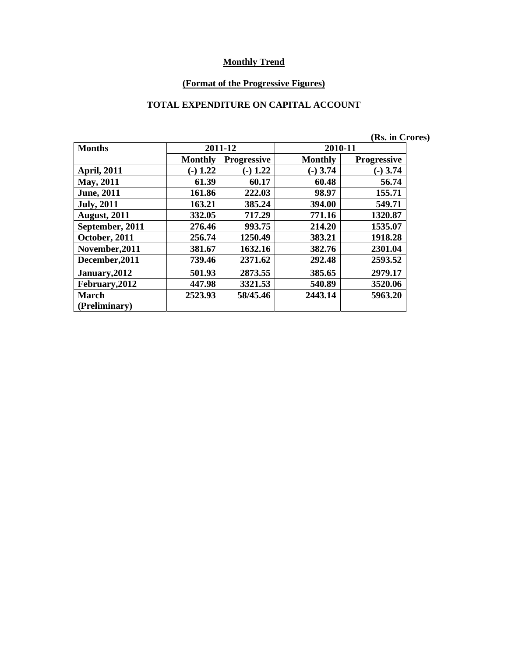#### **(Format of the Progressive Figures)**

### **TOTAL EXPENDITURE ON CAPITAL ACCOUNT**

|                     |                |                    |                | (Rs. in Crores)    |  |
|---------------------|----------------|--------------------|----------------|--------------------|--|
| <b>Months</b>       |                | 2011-12            | 2010-11        |                    |  |
|                     | <b>Monthly</b> | <b>Progressive</b> | <b>Monthly</b> | <b>Progressive</b> |  |
| <b>April, 2011</b>  | $(-) 1.22$     | $(-) 1.22$         | $(-)$ 3.74     | $(-)$ 3.74         |  |
| <b>May, 2011</b>    | 61.39          | 60.17              | 60.48          | 56.74              |  |
| <b>June</b> , 2011  | 161.86         | 222.03             | 98.97          | 155.71             |  |
| <b>July, 2011</b>   | 163.21         | 385.24             | 394.00         | 549.71             |  |
| <b>August, 2011</b> | 332.05         | 717.29             | 771.16         | 1320.87            |  |
| September, 2011     | 276.46         | 993.75             | 214.20         | 1535.07            |  |
| October, 2011       | 256.74         | 1250.49            | 383.21         | 1918.28            |  |
| November, 2011      | 381.67         | 1632.16            | 382.76         | 2301.04            |  |
| December, 2011      | 739.46         | 2371.62            | 292.48         | 2593.52            |  |
| January, 2012       | 501.93         | 2873.55            | 385.65         | 2979.17            |  |
| February, 2012      | 447.98         | 3321.53            | 540.89         | 3520.06            |  |
| <b>March</b>        | 2523.93        | 58/45.46           | 2443.14        | 5963.20            |  |
| (Preliminary)       |                |                    |                |                    |  |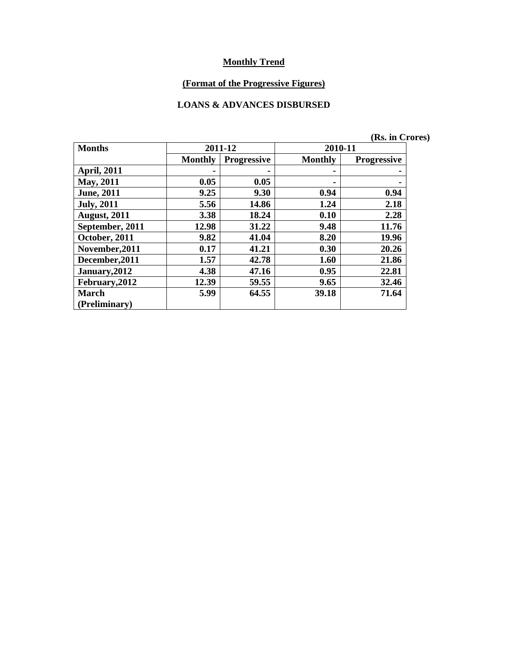# **(Format of the Progressive Figures)**

#### **LOANS & ADVANCES DISBURSED**

|                     |                |                    |                | , 1990 111 121 1   |
|---------------------|----------------|--------------------|----------------|--------------------|
| <b>Months</b>       | 2011-12        |                    | 2010-11        |                    |
|                     | <b>Monthly</b> | <b>Progressive</b> | <b>Monthly</b> | <b>Progressive</b> |
| <b>April, 2011</b>  |                |                    |                |                    |
| May, 2011           | 0.05           | 0.05               |                |                    |
| <b>June</b> , 2011  | 9.25           | 9.30               | 0.94           | 0.94               |
| <b>July</b> , 2011  | 5.56           | 14.86              | 1.24           | 2.18               |
| <b>August, 2011</b> | 3.38           | 18.24              | 0.10           | 2.28               |
| September, 2011     | 12.98          | 31.22              | 9.48           | 11.76              |
| October, 2011       | 9.82           | 41.04              | 8.20           | 19.96              |
| November, 2011      | 0.17           | 41.21              | 0.30           | 20.26              |
| December, 2011      | 1.57           | 42.78              | 1.60           | 21.86              |
| January, 2012       | 4.38           | 47.16              | 0.95           | 22.81              |
| February, 2012      | 12.39          | 59.55              | 9.65           | 32.46              |
| <b>March</b>        | 5.99           | 64.55              | 39.18          | 71.64              |
| (Preliminary)       |                |                    |                |                    |

**(Rs. in Crores)**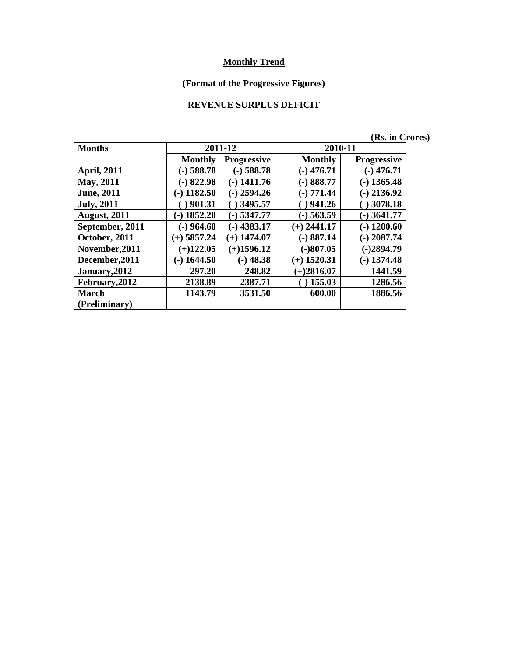# **(Format of the Progressive Figures)**

# **REVENUE SURPLUS DEFICIT**

|                     |                |                    |                | (Rs. in Crores)    |  |
|---------------------|----------------|--------------------|----------------|--------------------|--|
| <b>Months</b>       | 2011-12        |                    | 2010-11        |                    |  |
|                     | <b>Monthly</b> | <b>Progressive</b> | <b>Monthly</b> | <b>Progressive</b> |  |
| <b>April, 2011</b>  | $(-)$ 588.78   | $-$ ) 588.78       | $(-)$ 476.71   | $(-)$ 476.71       |  |
| <b>May</b> , 2011   | $-$ 822.98     | $(-)$ 1411.76      | $-)888.77$     | $(-)$ 1365.48      |  |
| <b>June</b> , 2011  | $(-)$ 1182.50  | $-$ ) 2594.26      | $(-) 771.44$   | $-$ ) 2136.92      |  |
| <b>July</b> , 2011  | $(-)$ 901.31   | $-$ ) 3495.57      | $-)$ 941.26    | $(-)$ 3078.18      |  |
| <b>August, 2011</b> | $(-)$ 1852.20  | $(-)$ 5347.77      | $(-)$ 563.59   | $(-)$ 3641.77      |  |
| September, 2011     | $(-)$ 964.60   | $-$ ) 4383.17      | $(+)$ 2441.17  | $(-)$ 1200.60      |  |
| October, 2011       | $(+)$ 5857.24  | $(+)$ 1474.07      | $-)887.14$     | $(-)$ 2087.74      |  |
| November, 2011      | $(+)122.05$    | $(+)1596.12$       | $(-)807.05$    | $(-)2894.79$       |  |
| December, 2011      | $(-)$ 1644.50  | $(-)$ 48.38        | $(+)$ 1520.31  | $(-)$ 1374.48      |  |
| January, 2012       | 297.20         | 248.82             | $(+)2816.07$   | 1441.59            |  |
| February, 2012      | 2138.89        | 2387.71            | $(-)$ 155.03   | 1286.56            |  |
| March               | 1143.79        | 3531.50            | 600.00         | 1886.56            |  |
| (Preliminary)       |                |                    |                |                    |  |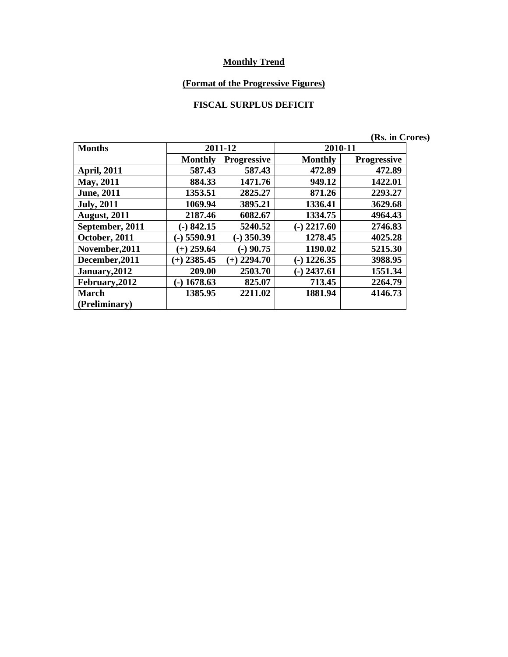#### **(Format of the Progressive Figures)**

# **FISCAL SURPLUS DEFICIT**

|                     |                |                    | (Rs. in Crores)  |                    |  |  |
|---------------------|----------------|--------------------|------------------|--------------------|--|--|
| <b>Months</b>       |                | 2011-12            |                  | 2010-11            |  |  |
|                     | <b>Monthly</b> | <b>Progressive</b> | <b>Monthly</b>   | <b>Progressive</b> |  |  |
| <b>April, 2011</b>  | 587.43         | 587.43             | 472.89           | 472.89             |  |  |
| <b>May, 2011</b>    | 884.33         | 1471.76            | 949.12           | 1422.01            |  |  |
| <b>June</b> , 2011  | 1353.51        | 2825.27            | 871.26           | 2293.27            |  |  |
| <b>July, 2011</b>   | 1069.94        | 3895.21            | 1336.41          | 3629.68            |  |  |
| <b>August, 2011</b> | 2187.46        | 6082.67            | 1334.75          | 4964.43            |  |  |
| September, 2011     | $(-) 842.15$   | 5240.52            | 2217.60<br>$(-)$ | 2746.83            |  |  |
| October, 2011       | $-$ ) 5590.91  | $-$ ) 350.39       | 1278.45          | 4025.28            |  |  |
| November, 2011      | $(+)$ 259.64   | $(-)$ 90.75        | 1190.02          | 5215.30            |  |  |
| December, 2011      | $(+)$ 2385.45  | $(+)$ 2294.70      | 1226.35<br>$(-)$ | 3988.95            |  |  |
| January, 2012       | 209.00         | 2503.70            | $-$ ) 2437.61    | 1551.34            |  |  |
| February, 2012      | $(-)$ 1678.63  | 825.07             | 713.45           | 2264.79            |  |  |
| <b>March</b>        | 1385.95        | 2211.02            | 1881.94          | 4146.73            |  |  |
| (Preliminary)       |                |                    |                  |                    |  |  |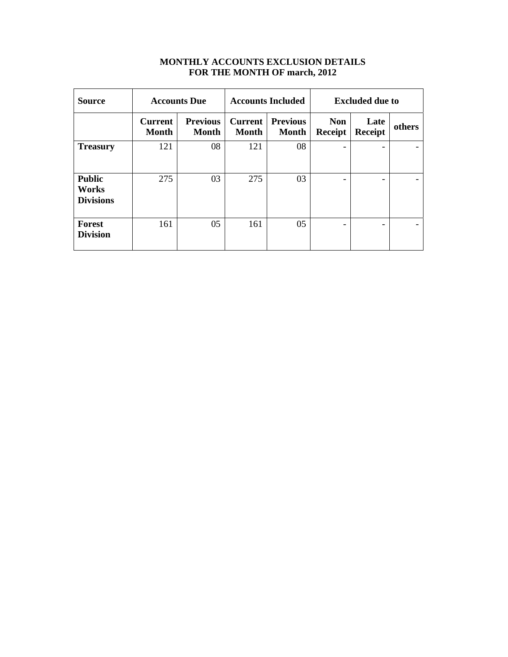| <b>MONTHLY ACCOUNTS EXCLUSION DETAILS</b> |
|-------------------------------------------|
| FOR THE MONTH OF march, 2012              |

| Source                                     | <b>Accounts Due</b>            |                                 | <b>Accounts Included</b>       |                                 | <b>Excluded due to</b> |                        |        |
|--------------------------------------------|--------------------------------|---------------------------------|--------------------------------|---------------------------------|------------------------|------------------------|--------|
|                                            | <b>Current</b><br><b>Month</b> | <b>Previous</b><br><b>Month</b> | <b>Current</b><br><b>Month</b> | <b>Previous</b><br><b>Month</b> | <b>Non</b><br>Receipt  | Late<br><b>Receipt</b> | others |
| <b>Treasury</b>                            | 121                            | 08                              | 121                            | 08                              |                        | -                      |        |
| <b>Public</b><br>Works<br><b>Divisions</b> | 275                            | 03                              | 275                            | 03                              |                        |                        |        |
| Forest<br><b>Division</b>                  | 161                            | 05                              | 161                            | 05                              |                        | -                      |        |